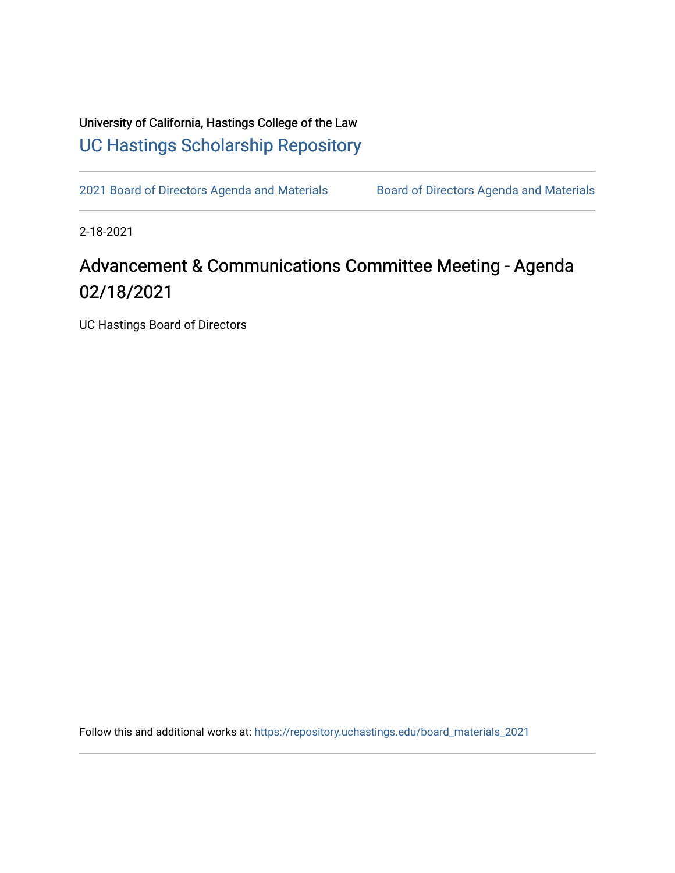## University of California, Hastings College of the Law [UC Hastings Scholarship Repository](https://repository.uchastings.edu/)

[2021 Board of Directors Agenda and Materials](https://repository.uchastings.edu/board_materials_2021) Board of Directors Agenda and Materials

2-18-2021

## Advancement & Communications Committee Meeting - Agenda 02/18/2021

UC Hastings Board of Directors

Follow this and additional works at: [https://repository.uchastings.edu/board\\_materials\\_2021](https://repository.uchastings.edu/board_materials_2021?utm_source=repository.uchastings.edu%2Fboard_materials_2021%2F10&utm_medium=PDF&utm_campaign=PDFCoverPages)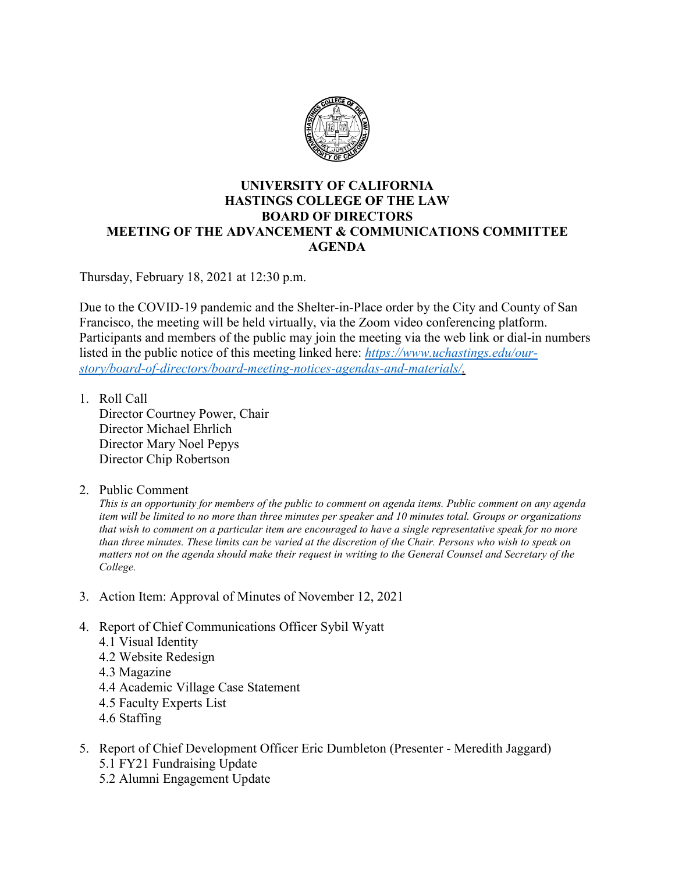

## **UNIVERSITY OF CALIFORNIA HASTINGS COLLEGE OF THE LAW BOARD OF DIRECTORS MEETING OF THE ADVANCEMENT & COMMUNICATIONS COMMITTEE AGENDA**

Thursday, February 18, 2021 at 12:30 p.m.

Due to the COVID-19 pandemic and the Shelter-in-Place order by the City and County of San Francisco, the meeting will be held virtually, via the Zoom video conferencing platform. Participants and members of the public may join the meeting via the web link or dial-in numbers listed in the public notice of this meeting linked here: *[https://www.uchastings.edu/our](https://www.uchastings.edu/our-story/board-of-directors/board-meeting-notices-agendas-and-materials/)[story/board-of-directors/board-meeting-notices-agendas-and-materials/.](https://www.uchastings.edu/our-story/board-of-directors/board-meeting-notices-agendas-and-materials/)* 

- 1. Roll Call Director Courtney Power, Chair Director Michael Ehrlich Director Mary Noel Pepys Director Chip Robertson
- 2. Public Comment

*This is an opportunity for members of the public to comment on agenda items. Public comment on any agenda item will be limited to no more than three minutes per speaker and 10 minutes total. Groups or organizations that wish to comment on a particular item are encouraged to have a single representative speak for no more than three minutes. These limits can be varied at the discretion of the Chair. Persons who wish to speak on matters not on the agenda should make their request in writing to the General Counsel and Secretary of the College.*

- 3. Action Item: Approval of Minutes of November 12, 2021
- 4. Report of Chief Communications Officer Sybil Wyatt
	- 4.1 Visual Identity
	- 4.2 Website Redesign
	- 4.3 Magazine
	- 4.4 Academic Village Case Statement
	- 4.5 Faculty Experts List
	- 4.6 Staffing
- 5. Report of Chief Development Officer Eric Dumbleton (Presenter Meredith Jaggard) 5.1 FY21 Fundraising Update
	- 5.2 Alumni Engagement Update